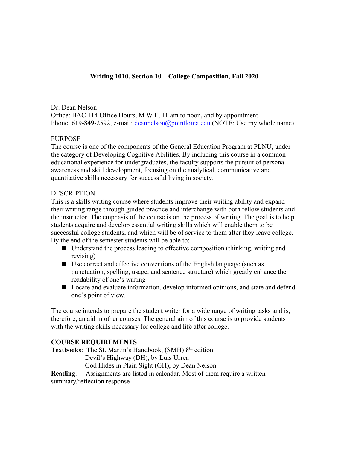# **Writing 1010, Section 10 – College Composition, Fall 2020**

Dr. Dean Nelson Office: BAC 114 Office Hours, M W F, 11 am to noon, and by appointment Phone: 619-849-2592, e-mail: [deannelson@pointloma.edu](mailto:deannelson@pointloma.edu) (NOTE: Use my whole name)

### PURPOSE

The course is one of the components of the General Education Program at PLNU, under the category of Developing Cognitive Abilities. By including this course in a common educational experience for undergraduates, the faculty supports the pursuit of personal awareness and skill development, focusing on the analytical, communicative and quantitative skills necessary for successful living in society.

## **DESCRIPTION**

This is a skills writing course where students improve their writing ability and expand their writing range through guided practice and interchange with both fellow students and the instructor. The emphasis of the course is on the process of writing. The goal is to help students acquire and develop essential writing skills which will enable them to be successful college students, and which will be of service to them after they leave college. By the end of the semester students will be able to:

- Understand the process leading to effective composition (thinking, writing and revising)
- Use correct and effective conventions of the English language (such as punctuation, spelling, usage, and sentence structure) which greatly enhance the readability of one's writing
- Locate and evaluate information, develop informed opinions, and state and defend one's point of view.

The course intends to prepare the student writer for a wide range of writing tasks and is, therefore, an aid in other courses. The general aim of this course is to provide students with the writing skills necessary for college and life after college.

### **COURSE REQUIREMENTS**

**Textbooks:** The St. Martin's Handbook, (SMH) 8<sup>th</sup> edition.

Devil's Highway (DH), by Luis Urrea

God Hides in Plain Sight (GH), by Dean Nelson

**Reading**: Assignments are listed in calendar. Most of them require a written

summary/reflection response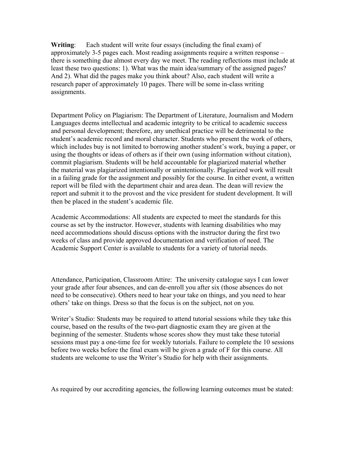**Writing**: Each student will write four essays (including the final exam) of approximately 3-5 pages each. Most reading assignments require a written response – there is something due almost every day we meet. The reading reflections must include at least these two questions: 1). What was the main idea/summary of the assigned pages? And 2). What did the pages make you think about? Also, each student will write a research paper of approximately 10 pages. There will be some in-class writing assignments.

Department Policy on Plagiarism: The Department of Literature, Journalism and Modern Languages deems intellectual and academic integrity to be critical to academic success and personal development; therefore, any unethical practice will be detrimental to the student's academic record and moral character. Students who present the work of others, which includes buy is not limited to borrowing another student's work, buying a paper, or using the thoughts or ideas of others as if their own (using information without citation), commit plagiarism. Students will be held accountable for plagiarized material whether the material was plagiarized intentionally or unintentionally. Plagiarized work will result in a failing grade for the assignment and possibly for the course. In either event, a written report will be filed with the department chair and area dean. The dean will review the report and submit it to the provost and the vice president for student development. It will then be placed in the student's academic file.

Academic Accommodations: All students are expected to meet the standards for this course as set by the instructor. However, students with learning disabilities who may need accommodations should discuss options with the instructor during the first two weeks of class and provide approved documentation and verification of need. The Academic Support Center is available to students for a variety of tutorial needs.

Attendance, Participation, Classroom Attire: The university catalogue says I can lower your grade after four absences, and can de-enroll you after six (those absences do not need to be consecutive). Others need to hear your take on things, and you need to hear others' take on things. Dress so that the focus is on the subject, not on you.

Writer's Studio: Students may be required to attend tutorial sessions while they take this course, based on the results of the two-part diagnostic exam they are given at the beginning of the semester. Students whose scores show they must take these tutorial sessions must pay a one-time fee for weekly tutorials. Failure to complete the 10 sessions before two weeks before the final exam will be given a grade of F for this course. All students are welcome to use the Writer's Studio for help with their assignments.

As required by our accrediting agencies, the following learning outcomes must be stated: